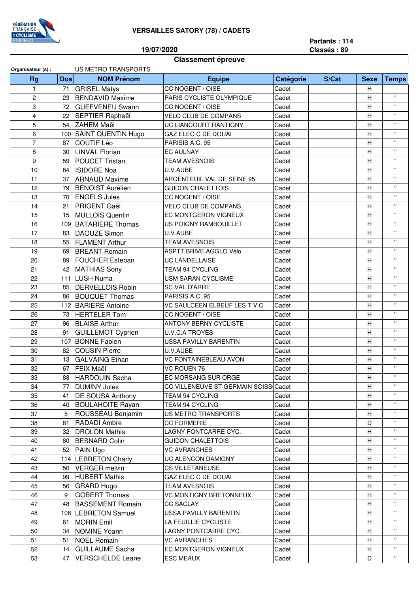## **VERSAILLES SATORY (78) / CADETS**



**19/07/2020**

**Partants : 114 Classés : 89**

## **Classement épreuve**

| Organisateur (s) :      |            | US METRO TRANSPORTS       |                                      |           |       |                |                    |
|-------------------------|------------|---------------------------|--------------------------------------|-----------|-------|----------------|--------------------|
| <b>Rg</b>               | <b>Dos</b> | <b>NOM Prénom</b>         | <b>Equipe</b>                        | Catégorie | S/Cat | <b>Sexe</b>    | <b>Temps</b>       |
| $\mathbf{1}$            | 71         | <b>GRISEL Matys</b>       | CC NOGENT / OISE                     | Cadet     |       | н              |                    |
| 2                       | 23         | <b>BENDAVID Maxime</b>    | PARIS CYCLISTE OLYMPIQUE             | Cadet     |       | Н              | $\mathbf{H}$       |
| 3                       | 72         | <b>GUEFVENEU Swann</b>    | CC NOGENT / OISE                     | Cadet     |       | Η              | $\mathbf{H}$       |
| $\overline{\mathbf{4}}$ | 22         | SEPTIER Raphaël           | <b>VELO CLUB DE COMPANS</b>          | Cadet     |       | $\overline{H}$ | $\mathbf{H}$       |
| 5                       | 54         | <b>ZAHEM Maël</b>         | UC LIANCOURT RANTIGNY                | Cadet     |       | Η              | $\mathbf{H}$       |
| 6                       | 100        | <b>SAINT QUENTIN Hugo</b> | GAZ ELEC C DE DOUAI                  | Cadet     |       | H              | $\mathbf{u}$       |
| $\overline{7}$          | 87         | <b>COUTIF Léo</b>         | PARISIS A.C. 95                      | Cadet     |       | H              | $\mathbf{H}$       |
| 8                       | 30         | <b>LINVAL Florian</b>     | <b>EC AULNAY</b>                     | Cadet     |       | $\overline{H}$ | $\mathbf{H}$       |
| 9                       | 59         | <b>POUCET Tristan</b>     | <b>TEAM AVESNOIS</b>                 | Cadet     |       | Η              | $\mathbf{H}$       |
| 10                      | 84         | <b>ISIDORE Noa</b>        | U.V.AUBE                             | Cadet     |       | Η              | $\mathbf{H}$       |
| 11                      | 37         | <b>ARNAUD Maxime</b>      | ARGENTEUIL VAL DE SEINE 95           | Cadet     |       | H              | $\mathbf{H}$       |
| 12                      | 79         | <b>BENOIST Aurélien</b>   | <b>GUIDON CHALETTOIS</b>             | Cadet     |       | Η              | $\mathbf{H}$       |
| 13                      | 70         | <b>ENGELS Jules</b>       | CC NOGENT / OISE                     | Cadet     |       | Н              | $\mathbf{H}$       |
| 14                      | 21         | <b>PRIGENT Gaël</b>       | VELO CLUB DE COMPANS                 | Cadet     |       | Н              | $\pmb{\mathsf{u}}$ |
| 15                      | 15         | <b>MULLOIS Quentin</b>    | EC MONTGERON VIGNEUX                 | Cadet     |       | $\overline{H}$ | $\mathbf{H}$       |
| 16                      | 109        | <b>BATARIERE Thomas</b>   | US POIGNY RAMBOUILLET                | Cadet     |       | $\overline{H}$ | $\mathbf{H}$       |
| 17                      | 83         | <b>DAOUZE Simon</b>       | U.V.AUBE                             | Cadet     |       | Η              | $\mathbf{H}$       |
| 18                      | 55         | <b>FLAMENT Arthur</b>     | <b>TEAM AVESNOIS</b>                 | Cadet     |       | H              | $\mathbf{H}$       |
| 19                      | 69         | <b>BREANT Romain</b>      | ASPTT BRIVE AGGLO Vélo               | Cadet     |       | $\overline{H}$ | $\mathbf{H}$       |
| 20                      | 89         | <b>FOUCHER Esteban</b>    | UC LANDELLAISE                       | Cadet     |       | H              | $\mathbf{H}$       |
| 21                      | 42         | <b>MATHIAS Sony</b>       | TEAM 94 CYCLING                      | Cadet     |       | Η              | $\mathbf{H}$       |
| 22                      |            | <b>LUSH Numa</b>          |                                      |           |       | H              | $\mathbf{H}$       |
|                         | 111        |                           | USM SARAN CYCLISME                   | Cadet     |       |                | $\mathbf{H}$       |
| 23                      | 85         | <b>DERVELLOIS Robin</b>   | <b>SC VAL D'ARRE</b>                 | Cadet     |       | Η              | $\mathbf{H}$       |
| 24                      | 86         | <b>BOUQUET Thomas</b>     | PARISIS A.C. 95                      | Cadet     |       | Η              | $\mathbf{H}$       |
| 25                      |            | 112 BARIERE Antoine       | VC SAULCEEN ELBEUF LES T.V.O         | Cadet     |       | H              | $\mathbf{u}$       |
| 26                      | 73         | <b>HERTELER Tom</b>       | CC NOGENT / OISE                     | Cadet     |       | Η              | $\mathbf{u}$       |
| 27                      | 96         | <b>BLAISE Arthur</b>      | <b>ANTONY BERNY CYCLISTE</b>         | Cadet     |       | Н              | $\mathbf{H}$       |
| 28                      | 91         | <b>GUILLEMOT Cyprien</b>  | U.V.C.A TROYES                       | Cadet     |       | Η              | $\mathbf{H}$       |
| 29                      | 107        | <b>BONNE Fabien</b>       | <b>USSA PAVILLY BARENTIN</b>         | Cadet     |       | $\overline{H}$ |                    |
| 30                      | 82         | <b>COUSIN Pierre</b>      | U.V.AUBE                             | Cadet     |       | Η              | $\mathbf{H}$       |
| 31                      | 13         | <b>GALVAING Ethan</b>     | VC FONTAINEBLEAU AVON                | Cadet     |       | Η              | $\mathbf{H}$       |
| 32                      | 67         | <b>FEIX Maël</b>          | VC ROUEN 76                          | Cadet     |       | Η              | $\mathbf{H}$       |
| 33                      | 88         | <b>HARDOUIN Sacha</b>     | EC MORSANG SUR ORGE                  | Cadet     |       | $\overline{H}$ | $\mathbf{u}$       |
| 34                      | 77         | <b>DUMINY Jules</b>       | CC VILLENEUVE ST GERMAIN SOISS Cadet |           |       | Н              | $\mathbf{H}$       |
| 35                      | 41         | <b>DE SOUSA Anthony</b>   | TEAM 94 CYCLING                      | Cadet     |       | н              | $\mathbf{H}$       |
| 36                      | 40         | <b>BOULAHOITE Rayan</b>   | TEAM 94 CYCLING                      | Cadet     |       | H              | $\pmb{\mathsf{H}}$ |
| 37                      | 5          | ROUSSEAU Benjamin         | US METRO TRANSPORTS                  | Cadet     |       | Н              |                    |
| 38                      | 81         | <b>RADADI</b> Ambre       | <b>CC FORMERIE</b>                   | Cadet     |       | D              | $\mathbf{H}$       |
| 39                      | 32         | <b>DROLON Mathis</b>      | LAGNY PONTCARRE CYC.                 | Cadet     |       | Н              | $\pmb{\mathsf{H}}$ |
| 40                      | 80         | <b>BESNARD Colin</b>      | <b>GUIDON CHALETTOIS</b>             | Cadet     |       | Н              | $\mathbf{H}$       |
| 41                      | 52         | <b>PAIN Ugo</b>           | <b>VC AVRANCHES</b>                  | Cadet     |       | H              | $\pmb{\mathsf{H}}$ |
| 42                      |            | 114   LEBRETON Charly     | UC ALENCON DAMIGNY                   | Cadet     |       | Н              | $\pmb{\mathsf{H}}$ |
| 43                      | 50         | <b>VERGER</b> melvin      | CS VILLETANEUSE                      | Cadet     |       | Н              | $\mathbf{H}$       |
| 44                      | 99         | <b>HUBERT Mathis</b>      | GAZ ELEC C DE DOUAI                  | Cadet     |       | Н              |                    |
| 45                      | 56         | GRARD Hugo                | <b>TEAM AVESNOIS</b>                 | Cadet     |       | Н              | $\pmb{\mathsf{H}}$ |
| 46                      | 9          | <b>GOBERT Thomas</b>      | VC MONTIGNY BRETONNEUX               | Cadet     |       | Н              | $\pmb{\mathsf{H}}$ |
| 47                      | 48         | <b>BASSEMENT Romain</b>   | <b>CC SACLAY</b>                     | Cadet     |       | Н              | $\mathbf{H}$       |
| 48                      |            | 108   LEBRETON Samuel     | <b>USSA PAVILLY BARENTIN</b>         | Cadet     |       | H              | $\mathbf{H}$       |
| 49                      | 61         | <b>MORIN Emil</b>         | LA FEUILLIE CYCLISTE                 | Cadet     |       | Н              | $\mathbf{H}$       |
| 50                      | 34         | NOMINE Yoann              | LAGNY PONTCARRE CYC.                 | Cadet     |       | н              | $\mathbf{H}$       |
| 51                      | 51         | <b>NOEL Romain</b>        | <b>VC AVRANCHES</b>                  | Cadet     |       | Н              |                    |
| 52                      | 14         | <b>GUILLAUME Sacha</b>    | EC MONTGERON VIGNEUX                 | Cadet     |       | H              | $\mathbf{H}$       |
| 53                      | 47         | <b>VERSCHELDE Leane</b>   | <b>ESC MEAUX</b>                     | Cadet     |       | D              |                    |
|                         |            |                           |                                      |           |       |                |                    |